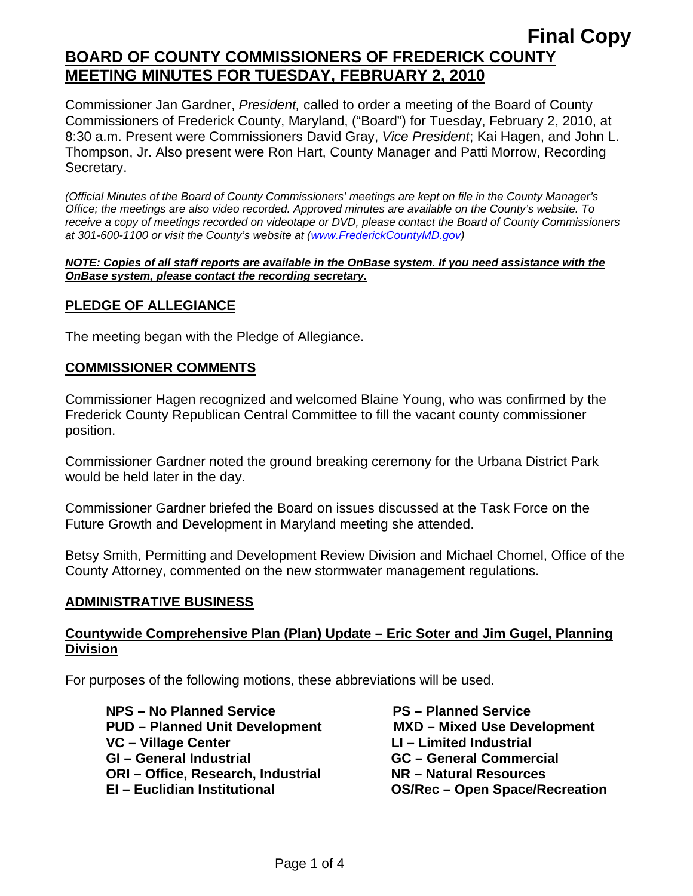Commissioner Jan Gardner, *President,* called to order a meeting of the Board of County Commissioners of Frederick County, Maryland, ("Board") for Tuesday, February 2, 2010, at 8:30 a.m. Present were Commissioners David Gray, *Vice President*; Kai Hagen, and John L. Thompson, Jr. Also present were Ron Hart, County Manager and Patti Morrow, Recording Secretary.

*(Official Minutes of the Board of County Commissioners' meetings are kept on file in the County Manager's Office; the meetings are also video recorded. Approved minutes are available on the County's website. To receive a copy of meetings recorded on videotape or DVD, please contact the Board of County Commissioners at 301-600-1100 or visit the County's website at ([www.FrederickCountyMD.gov](http://www.frederickcountymd.gov/))* 

#### *NOTE: Copies of all staff reports are available in the OnBase system. If you need assistance with the OnBase system, please contact the recording secretary.*

### **PLEDGE OF ALLEGIANCE**

The meeting began with the Pledge of Allegiance.

### **COMMISSIONER COMMENTS**

Commissioner Hagen recognized and welcomed Blaine Young, who was confirmed by the Frederick County Republican Central Committee to fill the vacant county commissioner position.

Commissioner Gardner noted the ground breaking ceremony for the Urbana District Park would be held later in the day.

Commissioner Gardner briefed the Board on issues discussed at the Task Force on the Future Growth and Development in Maryland meeting she attended.

Betsy Smith, Permitting and Development Review Division and Michael Chomel, Office of the County Attorney, commented on the new stormwater management regulations.

### **ADMINISTRATIVE BUSINESS**

### **Countywide Comprehensive Plan (Plan) Update – Eric Soter and Jim Gugel, Planning Division**

For purposes of the following motions, these abbreviations will be used.

**NPS – No Planned Service Communist Communist PS – Planned Service PUD – Planned Unit Development MXD – Mixed Use Development VC – Village Center LI – Limited Industrial COVE 4 GI – General Industrial GC – General Commercial ORI – Office, Research, Industrial NR – Natural Resources EI – Euclidian Institutional OS/Rec – Open Space/Recreation**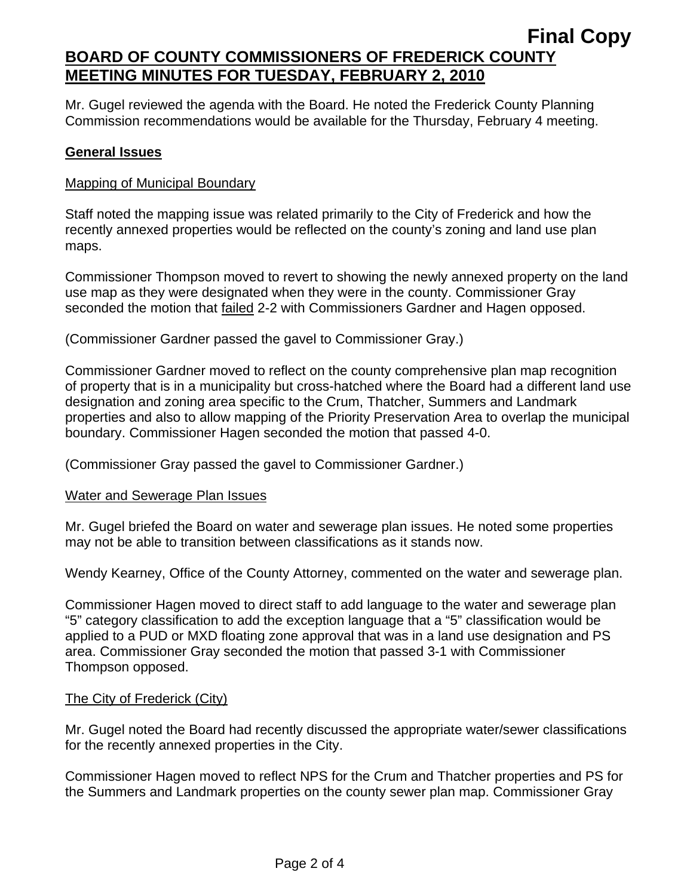Mr. Gugel reviewed the agenda with the Board. He noted the Frederick County Planning Commission recommendations would be available for the Thursday, February 4 meeting.

### **General Issues**

### Mapping of Municipal Boundary

Staff noted the mapping issue was related primarily to the City of Frederick and how the recently annexed properties would be reflected on the county's zoning and land use plan maps.

Commissioner Thompson moved to revert to showing the newly annexed property on the land use map as they were designated when they were in the county. Commissioner Gray seconded the motion that failed 2-2 with Commissioners Gardner and Hagen opposed.

(Commissioner Gardner passed the gavel to Commissioner Gray.)

Commissioner Gardner moved to reflect on the county comprehensive plan map recognition of property that is in a municipality but cross-hatched where the Board had a different land use designation and zoning area specific to the Crum, Thatcher, Summers and Landmark properties and also to allow mapping of the Priority Preservation Area to overlap the municipal boundary. Commissioner Hagen seconded the motion that passed 4-0.

(Commissioner Gray passed the gavel to Commissioner Gardner.)

### Water and Sewerage Plan Issues

Mr. Gugel briefed the Board on water and sewerage plan issues. He noted some properties may not be able to transition between classifications as it stands now.

Wendy Kearney, Office of the County Attorney, commented on the water and sewerage plan.

Commissioner Hagen moved to direct staff to add language to the water and sewerage plan "5" category classification to add the exception language that a "5" classification would be applied to a PUD or MXD floating zone approval that was in a land use designation and PS area. Commissioner Gray seconded the motion that passed 3-1 with Commissioner Thompson opposed.

## The City of Frederick (City)

Mr. Gugel noted the Board had recently discussed the appropriate water/sewer classifications for the recently annexed properties in the City.

Commissioner Hagen moved to reflect NPS for the Crum and Thatcher properties and PS for the Summers and Landmark properties on the county sewer plan map. Commissioner Gray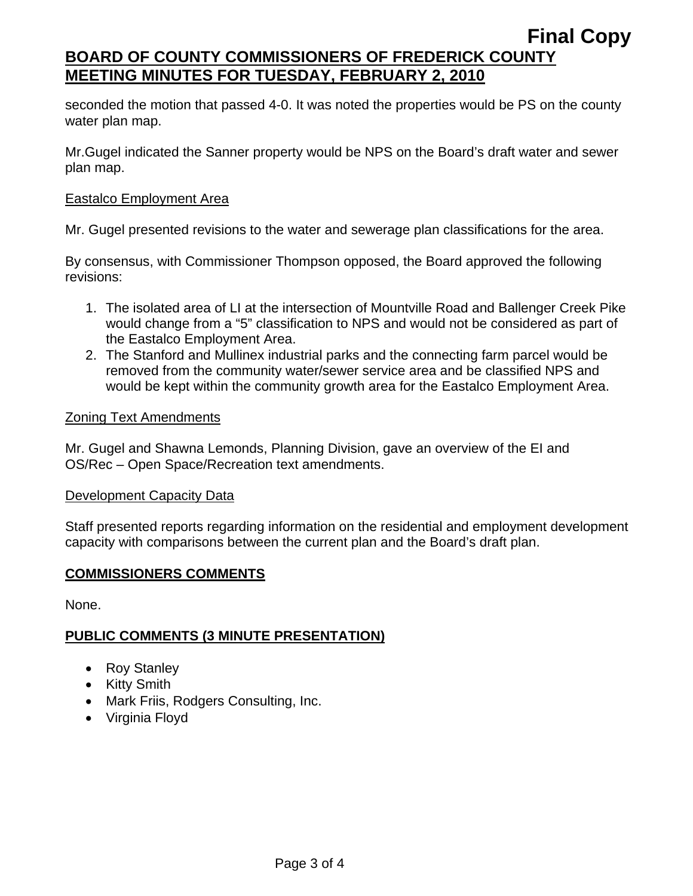seconded the motion that passed 4-0. It was noted the properties would be PS on the county water plan map.

Mr.Gugel indicated the Sanner property would be NPS on the Board's draft water and sewer plan map.

#### Eastalco Employment Area

Mr. Gugel presented revisions to the water and sewerage plan classifications for the area.

By consensus, with Commissioner Thompson opposed, the Board approved the following revisions:

- 1. The isolated area of LI at the intersection of Mountville Road and Ballenger Creek Pike would change from a "5" classification to NPS and would not be considered as part of the Eastalco Employment Area.
- 2. The Stanford and Mullinex industrial parks and the connecting farm parcel would be removed from the community water/sewer service area and be classified NPS and would be kept within the community growth area for the Eastalco Employment Area.

#### Zoning Text Amendments

Mr. Gugel and Shawna Lemonds, Planning Division, gave an overview of the EI and OS/Rec – Open Space/Recreation text amendments.

#### Development Capacity Data

Staff presented reports regarding information on the residential and employment development capacity with comparisons between the current plan and the Board's draft plan.

### **COMMISSIONERS COMMENTS**

None.

### **PUBLIC COMMENTS (3 MINUTE PRESENTATION)**

- Roy Stanley
- Kitty Smith
- Mark Friis, Rodgers Consulting, Inc.
- Virginia Floyd